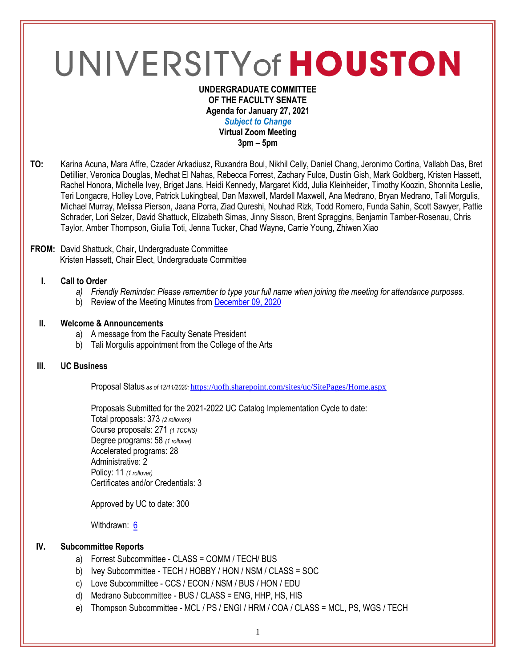# UNIVERSITY of HOUSTON

#### **UNDERGRADUATE COMMITTEE OF THE FACULTY SENATE Agenda for January 27, 2021** *Subject to Change* **Virtual Zoom Meeting 3pm – 5pm**

**TO:** Karina Acuna, Mara Affre, Czader Arkadiusz, Ruxandra Boul, Nikhil Celly, Daniel Chang, Jeronimo Cortina, Vallabh Das, Bret Detillier, Veronica Douglas, Medhat El Nahas, Rebecca Forrest, Zachary Fulce, Dustin Gish, Mark Goldberg, Kristen Hassett, Rachel Honora, Michelle Ivey, Briget Jans, Heidi Kennedy, Margaret Kidd, Julia Kleinheider, Timothy Koozin, Shonnita Leslie, Teri Longacre, Holley Love, Patrick Lukingbeal, Dan Maxwell, Mardell Maxwell, Ana Medrano, Bryan Medrano, Tali Morgulis, Michael Murray, Melissa Pierson, Jaana Porra, Ziad Qureshi, Nouhad Rizk, Todd Romero, Funda Sahin, Scott Sawyer, Pattie Schrader, Lori Selzer, David Shattuck, Elizabeth Simas, Jinny Sisson, Brent Spraggins, Benjamin Tamber-Rosenau, Chris Taylor, Amber Thompson, Giulia Toti, Jenna Tucker, Chad Wayne, Carrie Young, Zhiwen Xiao

#### **FROM:** David Shattuck, Chair, Undergraduate Committee Kristen Hassett, Chair Elect, Undergraduate Committee

# **I. Call to Order**

- *a) Friendly Reminder: Please remember to type your full name when joining the meeting for attendance purposes.*
- b) Review of the Meeting Minutes from [December 09, 2020](https://uh.edu/undergraduate-committee/meetings/agendas-minutes/ay-2021/m_2020_1209.pdf)

# **II. Welcome & Announcements**

- a) A message from the Faculty Senate President
- b) Tali Morgulis appointment from the College of the Arts

#### **III. UC Business**

Proposal Status *as of 12/11/2020:* <https://uofh.sharepoint.com/sites/uc/SitePages/Home.aspx>

Proposals Submitted for the 2021-2022 UC Catalog Implementation Cycle to date: Total proposals: 373 *(2 rollovers)* Course proposals: 271 *(1 TCCNS)* Degree programs: 58 *(1 rollover)* Accelerated programs: 28 Administrative: 2 Policy: 11 *(1 rollover)* Certificates and/or Credentials: 3

Approved by UC to date: 300

Withdrawn: [6](https://uofh.sharepoint.com/sites/uc/Lists/ProposalSubmissionAndTracking/Submitted%20Proposals%20%20Current%20Year%20%20Grouped.aspx?FilterField1=Proposal%5Fx0020%5FStatus&FilterValue1=Withdrawn%20%2D%20See%20Proposal%20Notes&FilterType1=Choice&viewid=3e8f7d7c%2Dd8a4%2D43cd%2D8f0e%2D60cc2ac81fe6)

# **IV. Subcommittee Reports**

- a) Forrest Subcommittee CLASS = COMM / TECH/ BUS
- b) Ivey Subcommittee TECH / HOBBY / HON / NSM / CLASS = SOC
- c) Love Subcommittee CCS / ECON / NSM / BUS / HON / EDU
- d) Medrano Subcommittee BUS / CLASS = ENG, HHP, HS, HIS
- e) Thompson Subcommittee MCL / PS / ENGI / HRM / COA / CLASS = MCL, PS, WGS / TECH